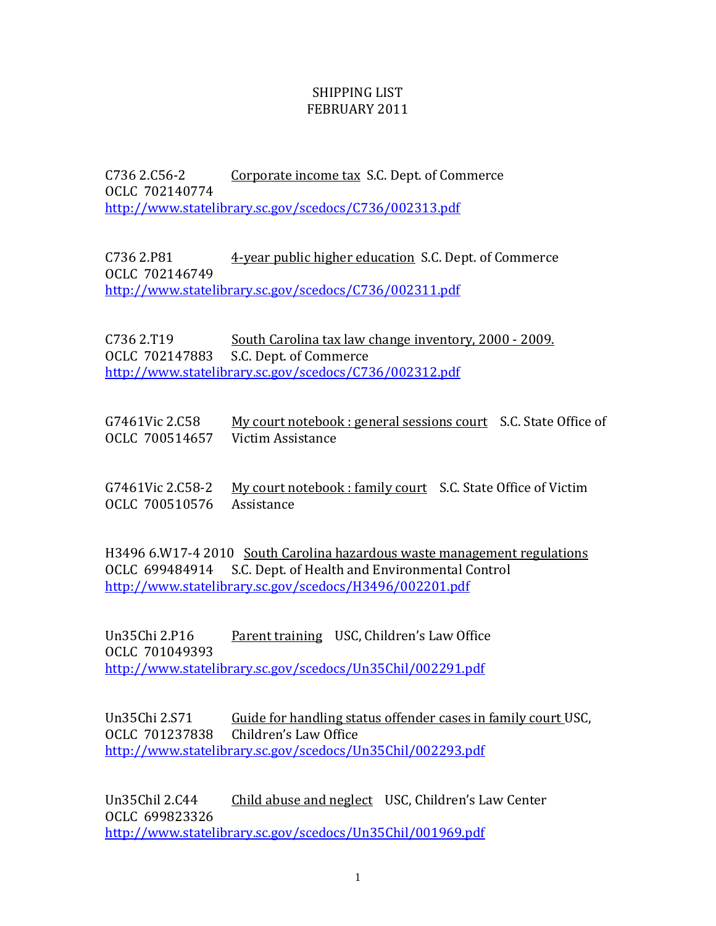## SHIPPING LIST FEBRUARY 2011

C736 2.C56-2 Corporate income tax S.C. Dept. of Commerce OCLC 702140774 http://www.statelibrary.sc.gov/scedocs/C736/002313.pdf

C736 2.P81 **4-year public higher education S.C. Dept. of Commerce** CLC 702146749 O http://www.statelibrary.sc.gov/scedocs/C736/002311.pdf

C736 2.T19 South Carolina tax law change inventory, 2000 - 2009. OCLC 702147883 S.C. Dept. of Commerce http://www.statelibrary.sc.gov/scedocs/C736/002312.pdf

| G7461Vic 2.C58                   | My court notebook : general sessions court S.C. State Office of |  |
|----------------------------------|-----------------------------------------------------------------|--|
| OCLC 700514657 Victim Assistance |                                                                 |  |

G7461Vic 2.C58-2 My court notebook : family court S.C. State Office of Victim OCLC 700510576 Assistance

H3496 6.W17-4 2010 South Carolina hazardous waste management regulations [OCLC 699484914 S.C. Dept. of Health and Environmental C](http://www.statelibrary.sc.gov/scedocs/H3496/002201.pdf)ontrol http://www.statelibrary.sc.gov/scedocs/H3496/002201.pdf

Un35Chi 2.P16 Parent training USC, Children's Law Office CLC 701049393 O http://www.statelibrary.sc.gov/scedocs/Un35Chil/002291.pdf

Un35Chi 2.S71 Guide for handling status offender cases in family court USC, OCLC 701237838 Children's Law Office http://www.statelibrary.sc.gov/scedocs/Un35Chil/002293.pdf

Un35Chil 2.C44 Child abuse and neglect USC, Children's Law Center OCLC 699823326 <http://www.statelibrary.sc.gov/scedocs/Un35Chil/001969.pdf>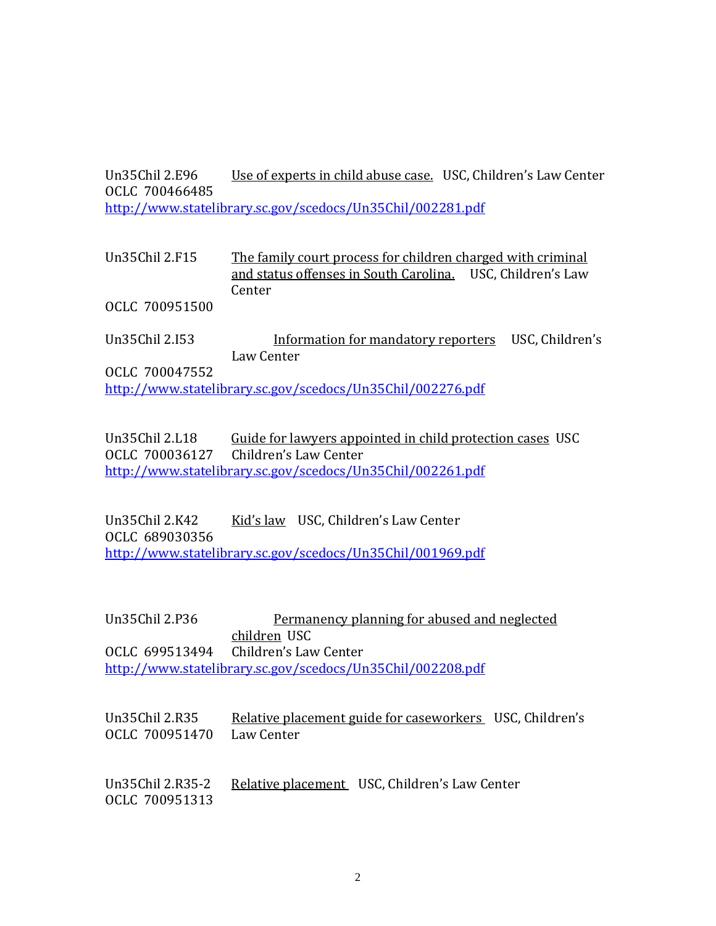Un35Chil 2.E96 Use of experts in child abuse case. USC, Children's Law Center CLC 700466485 O http://www.statelibrary.sc.gov/scedocs/Un35Chil/002281.pdf

Un35Chil 2.F15 The family court process for children charged with criminal and status offenses in South Carolina. USC, Children's Law **Center** 

OCLC 700951500

Un35Chil 2.153 **Information for mandatory reporters** USC, Children's Law Center

OCLC 700047552 http://www.statelibrary.sc.gov/scedocs/Un35Chil/002276.pdf

Un35Chil 2.L18 Guide for lawyers appointed in child protection cases USC OCLC 700036127 Children's Law Center http://www.statelibrary.sc.gov/scedocs/Un35Chil/002261.pdf

Un35Chil 2.K42 Kid's law USC, Children's Law Center CLC 689030356 O http://www.statelibrary.sc.gov/scedocs/Un35Chil/001969.pdf

Un35Chil 2.P36 Permanency planning for abused and neglected children USC Children's Law Center http://www.statelibrary.sc.gov/scedocs/Un35Chil/002208.pdf OCLC 699513494

Un35Chil 2.R35 Relative placement guide for caseworkers USC, Children's OCLC 700951470 Law Center

Un35Chil 2.R35-2 Relative placement USC, Children's Law Center OCLC 700951313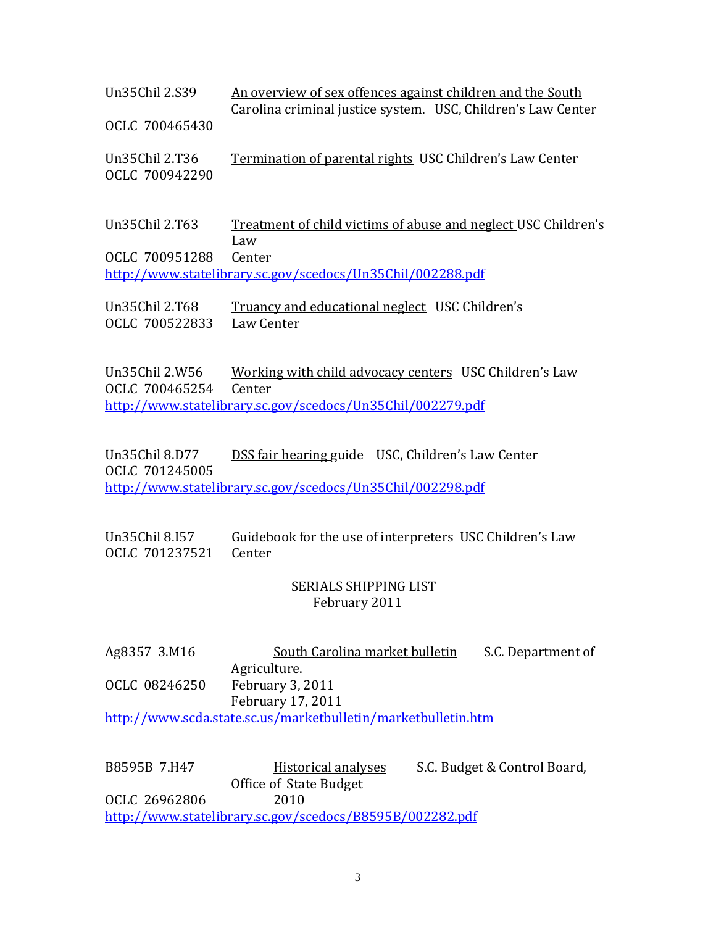| Un35Chil 2.S39                                             | An overview of sex offences against children and the South<br>Carolina criminal justice system. USC, Children's Law Center |  |  |  |
|------------------------------------------------------------|----------------------------------------------------------------------------------------------------------------------------|--|--|--|
| OCLC 700465430<br>Un35Chil 2.T36                           | <b>Termination of parental rights USC Children's Law Center</b>                                                            |  |  |  |
| OCLC 700942290                                             |                                                                                                                            |  |  |  |
| Un35Chil 2.T63                                             | <u>Treatment of child victims of abuse and neglect USC Children's</u><br>Law                                               |  |  |  |
| OCLC 700951288                                             | Center                                                                                                                     |  |  |  |
| http://www.statelibrary.sc.gov/scedocs/Un35Chil/002288.pdf |                                                                                                                            |  |  |  |
| Un35Chil 2.T68<br>OCLC 700522833                           | Truancy and educational neglect USC Children's<br>Law Center                                                               |  |  |  |

Un35Chil 2.W56 Working with child advocacy centers USC Children's Law OCLC 700465254 Center http://www.statelibrary.sc.gov/scedocs/Un35Chil/002279.pdf

Un35Chil 8.D77 DSS fair hearing guide USC, Children's Law Center CLC 701245005 O http://www.statelibrary.sc.gov/scedocs/Un35Chil/002298.pdf

## Un35Chil 8.157 Guidebook for the use of interpreters USC Children's Law OCLC 701237521 Center

## SERIALS SHIPPING LIST February 2011

Ag8357 3.M16 South Carolina market bulletin S.C. Department of Agriculture. OCLC 08246250 February 3, 2011 February 17, 2011 http://www.scda.state.sc.us/marketbulletin/marketbulletin.htm

B8595B 7.H47 Historical analyses S.C. Budget & Control Board, Office of State Budget OCLC 26962806 2010 http://www.statelibrary.sc.gov/scedocs/B8595B/002282.pdf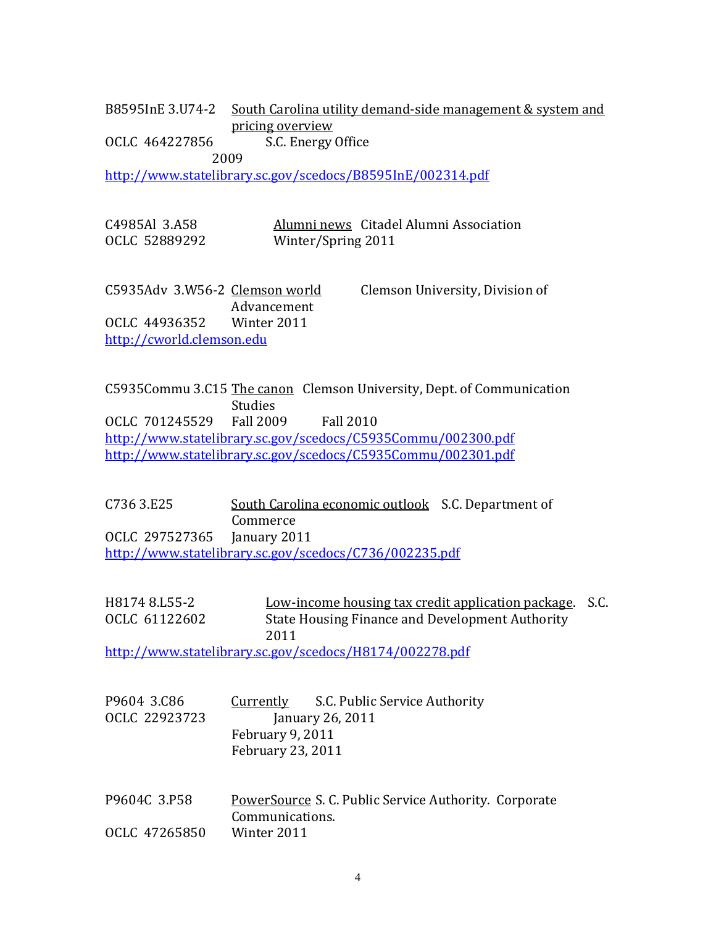B8595InE 3.U74-2 <u>South Carolina utility demand-side management & system and</u> pricing overview

OCLC 464227856 S.C. Energy Office

2009

http://www.statelibrary.sc.gov/scedocs/B8595InE/002314.pdf

| C4985Al 3.A58 |                    | Alumni news Citadel Alumni Association |
|---------------|--------------------|----------------------------------------|
| OCLC 52889292 | Winter/Spring 2011 |                                        |

C5935Adv 3.W56-2 Clemson world Clemson University, Division of Advancement OCLC 44936352 Winter 2011 http://cworld.clemson.edu

C5935 Commu 3.C15 The canon Clemson University, Dept. of Communication Studies OCLC 701245529 Fall 2009 Fall 2010 http://www.statelibrary.sc.gov/scedocs/C5935Commu/002300.pdf http://www.statelibrary.sc.gov/scedocs/C5935Commu/002301.pdf

C736 3.E25 South Carolina economic outlook S.C. Department of Commerce CLC 297527365 January 2011 O http://www.statelibrary.sc.gov/scedocs/C736/002235.pdf

H 8174 8.155-2 **Low-income housing tax credit application package.** S.C. OCLC 61122602 State Housing Finance and Development Authority 2011

http://www.statelibrary.sc.gov/scedocs/H8174/002278.pdf

| P9604 3.C86   | <u>Currently</u>         | S.C. Public Service Authority |
|---------------|--------------------------|-------------------------------|
| OCLC 22923723 | January 26, 2011         |                               |
|               | February 9, 2011         |                               |
|               | <b>February 23, 2011</b> |                               |

P9604C 3.P58 PowerSource S. C. Public Service Authority. Corporate Communications. OCLC 47265850 Winter 2011